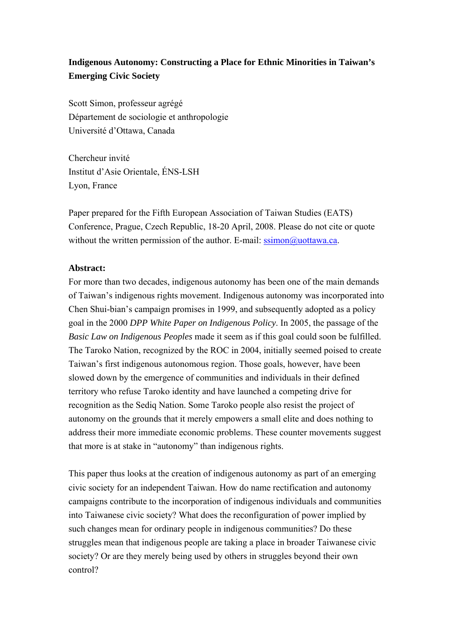# **Indigenous Autonomy: Constructing a Place for Ethnic Minorities in Taiwan's Emerging Civic Society**

Scott Simon, professeur agrégé Département de sociologie et anthropologie Université d'Ottawa, Canada

Chercheur invité Institut d'Asie Orientale, ÉNS-LSH Lyon, France

Paper prepared for the Fifth European Association of Taiwan Studies (EATS) Conference, Prague, Czech Republic, 18-20 April, 2008. Please do not cite or quote without the written permission of the author. E-mail:  $\text{ssimon@uottawa.ca.}$ 

### **Abstract:**

For more than two decades, indigenous autonomy has been one of the main demands of Taiwan's indigenous rights movement. Indigenous autonomy was incorporated into Chen Shui-bian's campaign promises in 1999, and subsequently adopted as a policy goal in the 2000 *DPP White Paper on Indigenous Policy*. In 2005, the passage of the *Basic Law on Indigenous Peoples* made it seem as if this goal could soon be fulfilled. The Taroko Nation, recognized by the ROC in 2004, initially seemed poised to create Taiwan's first indigenous autonomous region. Those goals, however, have been slowed down by the emergence of communities and individuals in their defined territory who refuse Taroko identity and have launched a competing drive for recognition as the Sediq Nation. Some Taroko people also resist the project of autonomy on the grounds that it merely empowers a small elite and does nothing to address their more immediate economic problems. These counter movements suggest that more is at stake in "autonomy" than indigenous rights.

This paper thus looks at the creation of indigenous autonomy as part of an emerging civic society for an independent Taiwan. How do name rectification and autonomy campaigns contribute to the incorporation of indigenous individuals and communities into Taiwanese civic society? What does the reconfiguration of power implied by such changes mean for ordinary people in indigenous communities? Do these struggles mean that indigenous people are taking a place in broader Taiwanese civic society? Or are they merely being used by others in struggles beyond their own control?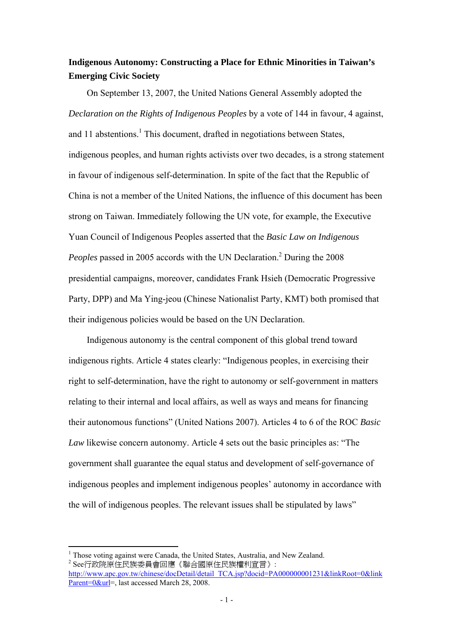## **Indigenous Autonomy: Constructing a Place for Ethnic Minorities in Taiwan's Emerging Civic Society**

On September 13, 2007, the United Nations General Assembly adopted the *Declaration on the Rights of Indigenous Peoples* by a vote of 144 in favour, 4 against, and 11 abstentions.<sup>1</sup> This document, drafted in negotiations between States, indigenous peoples, and human rights activists over two decades, is a strong statement in favour of indigenous self-determination. In spite of the fact that the Republic of China is not a member of the United Nations, the influence of this document has been strong on Taiwan. Immediately following the UN vote, for example, the Executive Yuan Council of Indigenous Peoples asserted that the *Basic Law on Indigenous*  Peoples passed in 2005 accords with the UN Declaration.<sup>2</sup> During the 2008 presidential campaigns, moreover, candidates Frank Hsieh (Democratic Progressive Party, DPP) and Ma Ying-jeou (Chinese Nationalist Party, KMT) both promised that their indigenous policies would be based on the UN Declaration.

Indigenous autonomy is the central component of this global trend toward indigenous rights. Article 4 states clearly: "Indigenous peoples, in exercising their right to self-determination, have the right to autonomy or self-government in matters relating to their internal and local affairs, as well as ways and means for financing their autonomous functions" (United Nations 2007). Articles 4 to 6 of the ROC *Basic Law* likewise concern autonomy. Article 4 sets out the basic principles as: "The government shall guarantee the equal status and development of self-governance of indigenous peoples and implement indigenous peoples' autonomy in accordance with the will of indigenous peoples. The relevant issues shall be stipulated by laws"

<sup>&</sup>lt;sup>1</sup> Those voting against were Canada, the United States, Australia, and New Zealand.<br>2 Socketting in the State of the MEARIE of the WEARING IN . See行政院原住民族委員會回應《聯合國原住民族權利宣言》:

http://www.apc.gov.tw/chinese/docDetail/detail\_TCA.jsp?docid=PA000000001231&linkRoot=0&link Parent=0&url=, last accessed March 28, 2008.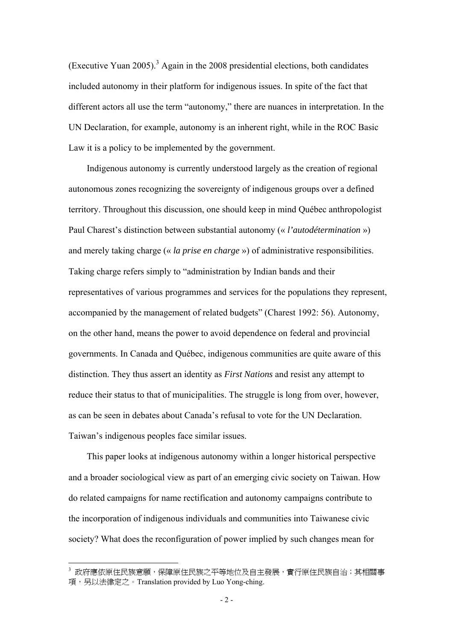(Executive Yuan 2005).<sup>3</sup> Again in the 2008 presidential elections, both candidates included autonomy in their platform for indigenous issues. In spite of the fact that different actors all use the term "autonomy," there are nuances in interpretation. In the UN Declaration, for example, autonomy is an inherent right, while in the ROC Basic Law it is a policy to be implemented by the government.

Indigenous autonomy is currently understood largely as the creation of regional autonomous zones recognizing the sovereignty of indigenous groups over a defined territory. Throughout this discussion, one should keep in mind Québec anthropologist Paul Charest's distinction between substantial autonomy (« *l'autodétermination* ») and merely taking charge (« *la prise en charge* ») of administrative responsibilities. Taking charge refers simply to "administration by Indian bands and their representatives of various programmes and services for the populations they represent, accompanied by the management of related budgets" (Charest 1992: 56). Autonomy, on the other hand, means the power to avoid dependence on federal and provincial governments. In Canada and Québec, indigenous communities are quite aware of this distinction. They thus assert an identity as *First Nations* and resist any attempt to reduce their status to that of municipalities. The struggle is long from over, however, as can be seen in debates about Canada's refusal to vote for the UN Declaration. Taiwan's indigenous peoples face similar issues.

This paper looks at indigenous autonomy within a longer historical perspective and a broader sociological view as part of an emerging civic society on Taiwan. How do related campaigns for name rectification and autonomy campaigns contribute to the incorporation of indigenous individuals and communities into Taiwanese civic society? What does the reconfiguration of power implied by such changes mean for

<sup>&</sup>lt;sup>3</sup> 政府應依原住民族意願,保障原住民族之平等地位及自主發展,實行原住民族自治;其相關事 項,另以法律定之。Translation provided by Luo Yong-ching.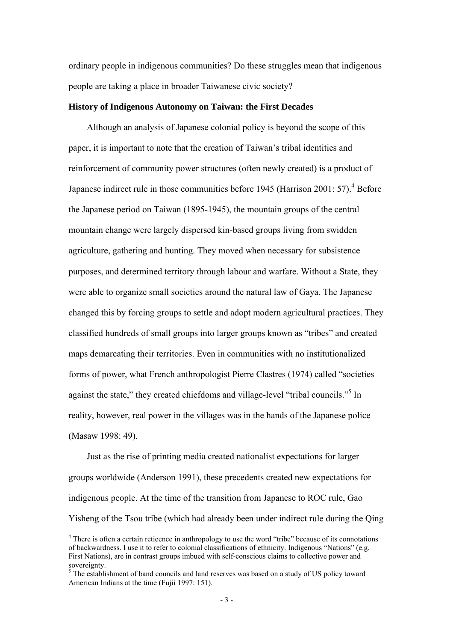ordinary people in indigenous communities? Do these struggles mean that indigenous people are taking a place in broader Taiwanese civic society?

#### **History of Indigenous Autonomy on Taiwan: the First Decades**

Although an analysis of Japanese colonial policy is beyond the scope of this paper, it is important to note that the creation of Taiwan's tribal identities and reinforcement of community power structures (often newly created) is a product of Japanese indirect rule in those communities before 1945 (Harrison 2001: 57).<sup>4</sup> Before the Japanese period on Taiwan (1895-1945), the mountain groups of the central mountain change were largely dispersed kin-based groups living from swidden agriculture, gathering and hunting. They moved when necessary for subsistence purposes, and determined territory through labour and warfare. Without a State, they were able to organize small societies around the natural law of Gaya. The Japanese changed this by forcing groups to settle and adopt modern agricultural practices. They classified hundreds of small groups into larger groups known as "tribes" and created maps demarcating their territories. Even in communities with no institutionalized forms of power, what French anthropologist Pierre Clastres (1974) called "societies against the state," they created chiefdoms and village-level "tribal councils."<sup>5</sup> In reality, however, real power in the villages was in the hands of the Japanese police (Masaw 1998: 49).

Just as the rise of printing media created nationalist expectations for larger groups worldwide (Anderson 1991), these precedents created new expectations for indigenous people. At the time of the transition from Japanese to ROC rule, Gao Yisheng of the Tsou tribe (which had already been under indirect rule during the Qing

<sup>&</sup>lt;sup>4</sup> There is often a certain reticence in anthropology to use the word "tribe" because of its connotations of backwardness. I use it to refer to colonial classifications of ethnicity. Indigenous "Nations" (e.g. First Nations), are in contrast groups imbued with self-conscious claims to collective power and sovereignty.<br><sup>5</sup> The establishment of band councils and land reserves was based on a study of US policy toward

American Indians at the time (Fujii 1997: 151).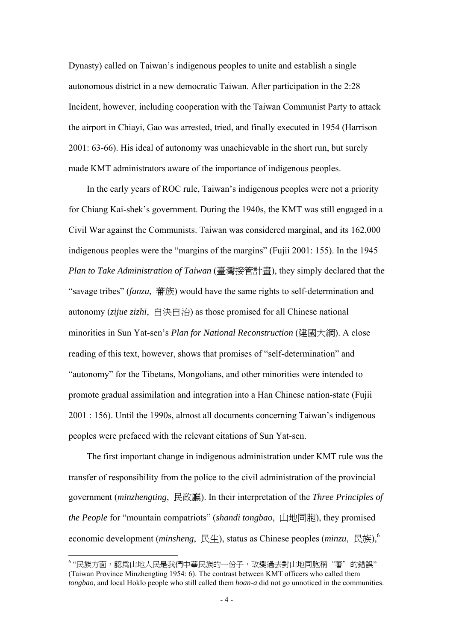Dynasty) called on Taiwan's indigenous peoples to unite and establish a single autonomous district in a new democratic Taiwan. After participation in the 2:28 Incident, however, including cooperation with the Taiwan Communist Party to attack the airport in Chiayi, Gao was arrested, tried, and finally executed in 1954 (Harrison 2001: 63-66). His ideal of autonomy was unachievable in the short run, but surely made KMT administrators aware of the importance of indigenous peoples.

In the early years of ROC rule, Taiwan's indigenous peoples were not a priority for Chiang Kai-shek's government. During the 1940s, the KMT was still engaged in a Civil War against the Communists. Taiwan was considered marginal, and its 162,000 indigenous peoples were the "margins of the margins" (Fujii 2001: 155). In the 1945 *Plan to Take Administration of Taiwan* (臺灣接管計畫), they simply declared that the "savage tribes" (*fanzu*, 蕃族) would have the same rights to self-determination and autonomy (*zijue zizhi*, 自決自治) as those promised for all Chinese national minorities in Sun Yat-sen's *Plan for National Reconstruction* (建國大綱). A close reading of this text, however, shows that promises of "self-determination" and "autonomy" for the Tibetans, Mongolians, and other minorities were intended to promote gradual assimilation and integration into a Han Chinese nation-state (Fujii 2001 : 156). Until the 1990s, almost all documents concerning Taiwan's indigenous peoples were prefaced with the relevant citations of Sun Yat-sen.

The first important change in indigenous administration under KMT rule was the transfer of responsibility from the police to the civil administration of the provincial government (*minzhengting*, 民政廳). In their interpretation of the *Three Principles of the People* for "mountain compatriots" (*shandi tongbao*, 山地同胞), they promised economic development (*minsheng*, 民生), status as Chinese peoples (*minzu*, 民族),6

<sup>6</sup> "民族方面,認為山地人民是我們中華民族的一份子,改變過去對山地同胞稱"蕃"的錯誤" (Taiwan Province Minzhengting 1954: 6). The contrast between KMT officers who called them *tongbao*, and local Hoklo people who still called them *hoan-a* did not go unnoticed in the communities.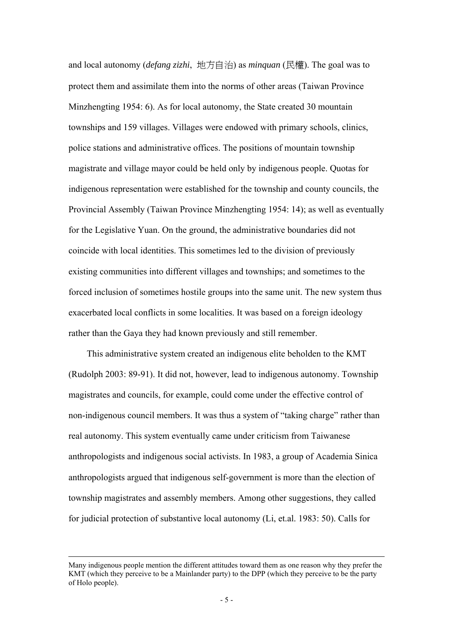and local autonomy (*defang zizhi*, 地方自治) as *minquan* (民權). The goal was to protect them and assimilate them into the norms of other areas (Taiwan Province Minzhengting 1954: 6). As for local autonomy, the State created 30 mountain townships and 159 villages. Villages were endowed with primary schools, clinics, police stations and administrative offices. The positions of mountain township magistrate and village mayor could be held only by indigenous people. Quotas for indigenous representation were established for the township and county councils, the Provincial Assembly (Taiwan Province Minzhengting 1954: 14); as well as eventually for the Legislative Yuan. On the ground, the administrative boundaries did not coincide with local identities. This sometimes led to the division of previously existing communities into different villages and townships; and sometimes to the forced inclusion of sometimes hostile groups into the same unit. The new system thus exacerbated local conflicts in some localities. It was based on a foreign ideology rather than the Gaya they had known previously and still remember.

This administrative system created an indigenous elite beholden to the KMT (Rudolph 2003: 89-91). It did not, however, lead to indigenous autonomy. Township magistrates and councils, for example, could come under the effective control of non-indigenous council members. It was thus a system of "taking charge" rather than real autonomy. This system eventually came under criticism from Taiwanese anthropologists and indigenous social activists. In 1983, a group of Academia Sinica anthropologists argued that indigenous self-government is more than the election of township magistrates and assembly members. Among other suggestions, they called for judicial protection of substantive local autonomy (Li, et.al. 1983: 50). Calls for

Many indigenous people mention the different attitudes toward them as one reason why they prefer the KMT (which they perceive to be a Mainlander party) to the DPP (which they perceive to be the party of Holo people).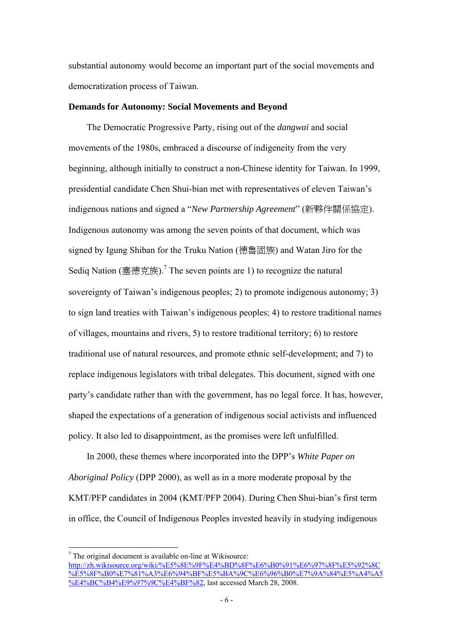substantial autonomy would become an important part of the social movements and democratization process of Taiwan.

#### **Demands for Autonomy: Social Movements and Beyond**

The Democratic Progressive Party, rising out of the *dangwai* and social movements of the 1980s, embraced a discourse of indigeneity from the very beginning, although initially to construct a non-Chinese identity for Taiwan. In 1999, presidential candidate Chen Shui-bian met with representatives of eleven Taiwan's indigenous nations and signed a "*New Partnership Agreement*" (新夥伴關係協定). Indigenous autonomy was among the seven points of that document, which was signed by Igung Shiban for the Truku Nation (德魯固族) and Watan Jiro for the Sediq Nation (塞德克族).<sup>7</sup> The seven points are 1) to recognize the natural sovereignty of Taiwan's indigenous peoples; 2) to promote indigenous autonomy; 3) to sign land treaties with Taiwan's indigenous peoples; 4) to restore traditional names of villages, mountains and rivers, 5) to restore traditional territory; 6) to restore traditional use of natural resources, and promote ethnic self-development; and 7) to replace indigenous legislators with tribal delegates. This document, signed with one party's candidate rather than with the government, has no legal force. It has, however, shaped the expectations of a generation of indigenous social activists and influenced policy. It also led to disappointment, as the promises were left unfulfilled.

In 2000, these themes where incorporated into the DPP's *White Paper on Aboriginal Policy* (DPP 2000), as well as in a more moderate proposal by the KMT/PFP candidates in 2004 (KMT/PFP 2004). During Chen Shui-bian's first term in office, the Council of Indigenous Peoples invested heavily in studying indigenous

 $7$  The original document is available on-line at Wikisource:

http://zh.wikisource.org/wiki/%E5%8E%9F%E4%BD%8F%E6%B0%91%E6%97%8F%E5%92%8C WE5%8F%B0%E7%81%A3%E6%94%BF%E5%BA%9C%E6%96%B0%E7%9A%84%E5%A4%A5 %E4%BC%B4%E9%97%9C%E4%BF%82, last accessed March 28, 2008.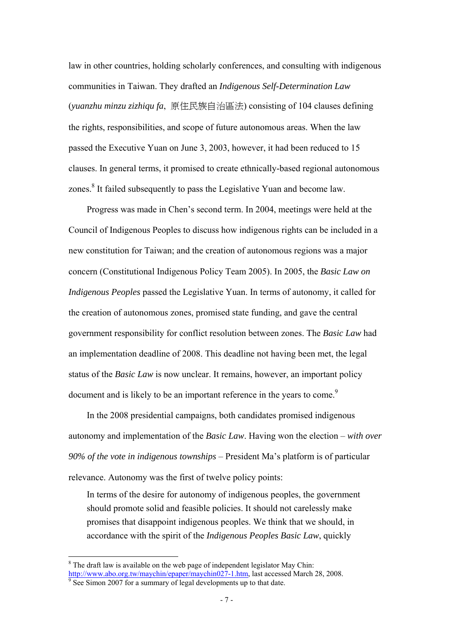law in other countries, holding scholarly conferences, and consulting with indigenous communities in Taiwan. They drafted an *Indigenous Self-Determination Law* (*yuanzhu minzu zizhiqu fa*, 原住民族自治區法) consisting of 104 clauses defining the rights, responsibilities, and scope of future autonomous areas. When the law passed the Executive Yuan on June 3, 2003, however, it had been reduced to 15 clauses. In general terms, it promised to create ethnically-based regional autonomous zones.<sup>8</sup> It failed subsequently to pass the Legislative Yuan and become law.

Progress was made in Chen's second term. In 2004, meetings were held at the Council of Indigenous Peoples to discuss how indigenous rights can be included in a new constitution for Taiwan; and the creation of autonomous regions was a major concern (Constitutional Indigenous Policy Team 2005). In 2005, the *Basic Law on Indigenous Peoples* passed the Legislative Yuan. In terms of autonomy, it called for the creation of autonomous zones, promised state funding, and gave the central government responsibility for conflict resolution between zones. The *Basic Law* had an implementation deadline of 2008. This deadline not having been met, the legal status of the *Basic Law* is now unclear. It remains, however, an important policy document and is likely to be an important reference in the years to come.<sup>9</sup>

In the 2008 presidential campaigns, both candidates promised indigenous autonomy and implementation of the *Basic Law*. Having won the election – *with over 90% of the vote in indigenous townships* – President Ma's platform is of particular relevance. Autonomy was the first of twelve policy points:

In terms of the desire for autonomy of indigenous peoples, the government should promote solid and feasible policies. It should not carelessly make promises that disappoint indigenous peoples. We think that we should, in accordance with the spirit of the *Indigenous Peoples Basic Law*, quickly

 $8$  The draft law is available on the web page of independent legislator May Chin: http://www.abo.org.tw/maychin/epaper/maychin027-1.htm, last accessed March 28, 2008.<br><sup>9</sup> See Simon 2007 for a summary of legal developments up to that date.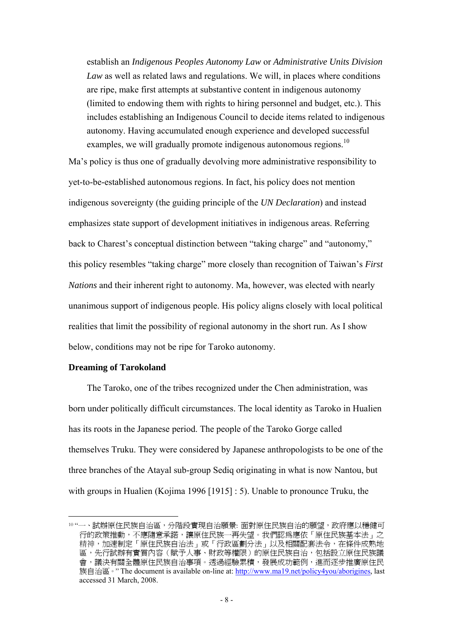establish an *Indigenous Peoples Autonomy Law* or *Administrative Units Division Law* as well as related laws and regulations. We will, in places where conditions are ripe, make first attempts at substantive content in indigenous autonomy (limited to endowing them with rights to hiring personnel and budget, etc.). This includes establishing an Indigenous Council to decide items related to indigenous autonomy. Having accumulated enough experience and developed successful examples, we will gradually promote indigenous autonomous regions.<sup>10</sup>

Ma's policy is thus one of gradually devolving more administrative responsibility to yet-to-be-established autonomous regions. In fact, his policy does not mention indigenous sovereignty (the guiding principle of the *UN Declaration*) and instead emphasizes state support of development initiatives in indigenous areas. Referring back to Charest's conceptual distinction between "taking charge" and "autonomy," this policy resembles "taking charge" more closely than recognition of Taiwan's *First Nations* and their inherent right to autonomy. Ma, however, was elected with nearly unanimous support of indigenous people. His policy aligns closely with local political realities that limit the possibility of regional autonomy in the short run. As I show below, conditions may not be ripe for Taroko autonomy.

### **Dreaming of Tarokoland**

 $\overline{a}$ 

The Taroko, one of the tribes recognized under the Chen administration, was born under politically difficult circumstances. The local identity as Taroko in Hualien has its roots in the Japanese period. The people of the Taroko Gorge called themselves Truku. They were considered by Japanese anthropologists to be one of the three branches of the Atayal sub-group Sediq originating in what is now Nantou, but with groups in Hualien (Kojima 1996 [1915] : 5). Unable to pronounce Truku, the

<sup>10 &</sup>quot;一、試辦原住民族自治區,分階段實現自治願景: 面對原住民族自治的願望,政府應以穩健可 行的政策推動,不應隨意承諾,讓原住民族一再失望。我們認為應依「原住民族基本法」之 精神,加速制定「原住民族自治法」或「行政區劃分法」以及相關配套法令,在條件成熟地 區,先行試辦有實質內容(賦予人事、財政等權限)的原住民族自治,包括設立原住民族議 會,議決有關全體原住民族自治事項。透過經驗累積,發展成功範例,進而逐步推廣原住民 族自治區。" The document is available on-line at: http://www.ma19.net/policy4you/aborigines, last accessed 31 March, 2008.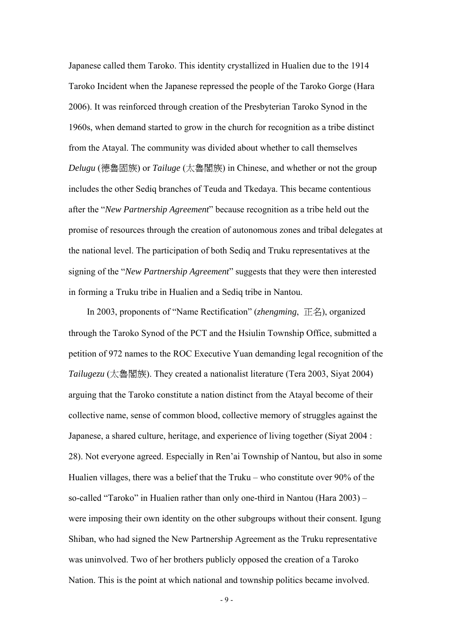Japanese called them Taroko. This identity crystallized in Hualien due to the 1914 Taroko Incident when the Japanese repressed the people of the Taroko Gorge (Hara 2006). It was reinforced through creation of the Presbyterian Taroko Synod in the 1960s, when demand started to grow in the church for recognition as a tribe distinct from the Atayal. The community was divided about whether to call themselves *Delugu* (德魯固族) or *Tailuge* (太魯閣族) in Chinese, and whether or not the group includes the other Sediq branches of Teuda and Tkedaya. This became contentious after the "*New Partnership Agreement*" because recognition as a tribe held out the promise of resources through the creation of autonomous zones and tribal delegates at the national level. The participation of both Sediq and Truku representatives at the signing of the "*New Partnership Agreement*" suggests that they were then interested in forming a Truku tribe in Hualien and a Sediq tribe in Nantou.

In 2003, proponents of "Name Rectification" (*zhengming*, 正名), organized through the Taroko Synod of the PCT and the Hsiulin Township Office, submitted a petition of 972 names to the ROC Executive Yuan demanding legal recognition of the *Tailugezu* (太魯閣族). They created a nationalist literature (Tera 2003, Siyat 2004) arguing that the Taroko constitute a nation distinct from the Atayal become of their collective name, sense of common blood, collective memory of struggles against the Japanese, a shared culture, heritage, and experience of living together (Siyat 2004 : 28). Not everyone agreed. Especially in Ren'ai Township of Nantou, but also in some Hualien villages, there was a belief that the Truku – who constitute over 90% of the so-called "Taroko" in Hualien rather than only one-third in Nantou (Hara 2003) – were imposing their own identity on the other subgroups without their consent. Igung Shiban, who had signed the New Partnership Agreement as the Truku representative was uninvolved. Two of her brothers publicly opposed the creation of a Taroko Nation. This is the point at which national and township politics became involved.

- 9 -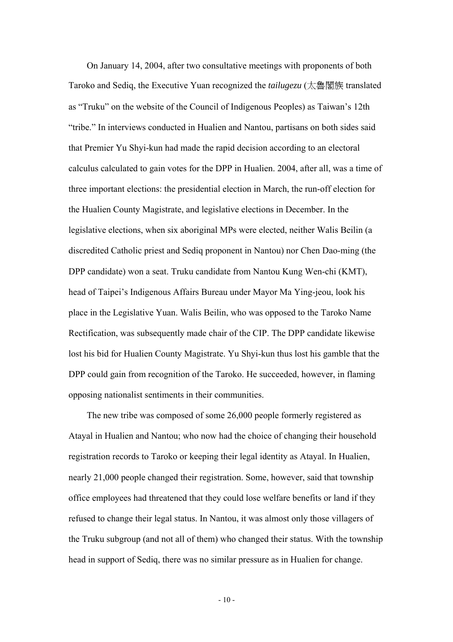On January 14, 2004, after two consultative meetings with proponents of both Taroko and Sediq, the Executive Yuan recognized the *tailugezu* (太魯閣族 translated as "Truku" on the website of the Council of Indigenous Peoples) as Taiwan's 12th "tribe." In interviews conducted in Hualien and Nantou, partisans on both sides said that Premier Yu Shyi-kun had made the rapid decision according to an electoral calculus calculated to gain votes for the DPP in Hualien. 2004, after all, was a time of three important elections: the presidential election in March, the run-off election for the Hualien County Magistrate, and legislative elections in December. In the legislative elections, when six aboriginal MPs were elected, neither Walis Beilin (a discredited Catholic priest and Sediq proponent in Nantou) nor Chen Dao-ming (the DPP candidate) won a seat. Truku candidate from Nantou Kung Wen-chi (KMT), head of Taipei's Indigenous Affairs Bureau under Mayor Ma Ying-jeou, look his place in the Legislative Yuan. Walis Beilin, who was opposed to the Taroko Name Rectification, was subsequently made chair of the CIP. The DPP candidate likewise lost his bid for Hualien County Magistrate. Yu Shyi-kun thus lost his gamble that the DPP could gain from recognition of the Taroko. He succeeded, however, in flaming opposing nationalist sentiments in their communities.

The new tribe was composed of some 26,000 people formerly registered as Atayal in Hualien and Nantou; who now had the choice of changing their household registration records to Taroko or keeping their legal identity as Atayal. In Hualien, nearly 21,000 people changed their registration. Some, however, said that township office employees had threatened that they could lose welfare benefits or land if they refused to change their legal status. In Nantou, it was almost only those villagers of the Truku subgroup (and not all of them) who changed their status. With the township head in support of Sediq, there was no similar pressure as in Hualien for change.

 $-10-$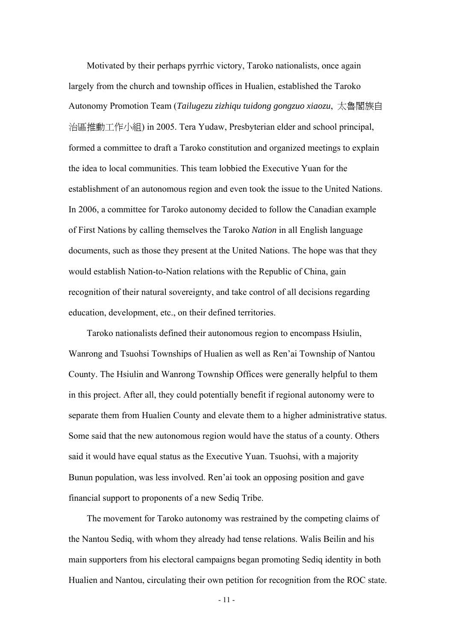Motivated by their perhaps pyrrhic victory, Taroko nationalists, once again largely from the church and township offices in Hualien, established the Taroko Autonomy Promotion Team (*Tailugezu zizhiqu tuidong gongzuo xiaozu*, 太魯閣族自 治區推動工作小組) in 2005. Tera Yudaw, Presbyterian elder and school principal, formed a committee to draft a Taroko constitution and organized meetings to explain the idea to local communities. This team lobbied the Executive Yuan for the establishment of an autonomous region and even took the issue to the United Nations. In 2006, a committee for Taroko autonomy decided to follow the Canadian example of First Nations by calling themselves the Taroko *Nation* in all English language documents, such as those they present at the United Nations. The hope was that they would establish Nation-to-Nation relations with the Republic of China, gain recognition of their natural sovereignty, and take control of all decisions regarding education, development, etc., on their defined territories.

Taroko nationalists defined their autonomous region to encompass Hsiulin, Wanrong and Tsuohsi Townships of Hualien as well as Ren'ai Township of Nantou County. The Hsiulin and Wanrong Township Offices were generally helpful to them in this project. After all, they could potentially benefit if regional autonomy were to separate them from Hualien County and elevate them to a higher administrative status. Some said that the new autonomous region would have the status of a county. Others said it would have equal status as the Executive Yuan. Tsuohsi, with a majority Bunun population, was less involved. Ren'ai took an opposing position and gave financial support to proponents of a new Sediq Tribe.

The movement for Taroko autonomy was restrained by the competing claims of the Nantou Sediq, with whom they already had tense relations. Walis Beilin and his main supporters from his electoral campaigns began promoting Sediq identity in both Hualien and Nantou, circulating their own petition for recognition from the ROC state.

- 11 -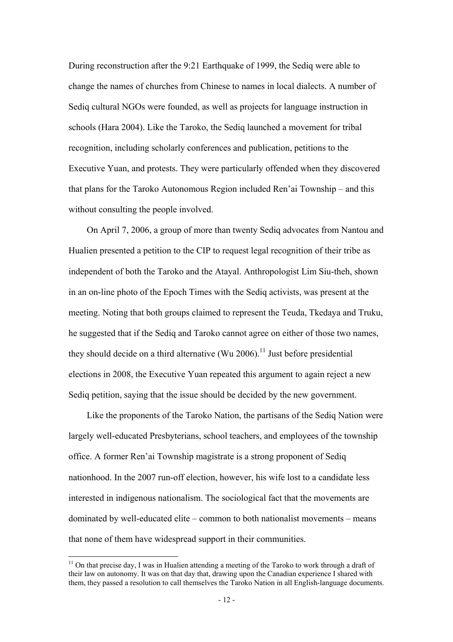During reconstruction after the 9:21 Earthquake of 1999, the Sediq were able to change the names of churches from Chinese to names in local dialects. A number of Sediq cultural NGOs were founded, as well as projects for language instruction in schools (Hara 2004). Like the Taroko, the Sediq launched a movement for tribal recognition, including scholarly conferences and publication, petitions to the Executive Yuan, and protests. They were particularly offended when they discovered that plans for the Taroko Autonomous Region included Ren'ai Township – and this without consulting the people involved.

On April 7, 2006, a group of more than twenty Sediq advocates from Nantou and Hualien presented a petition to the CIP to request legal recognition of their tribe as independent of both the Taroko and the Atayal. Anthropologist Lim Siu-theh, shown in an on-line photo of the Epoch Times with the Sediq activists, was present at the meeting. Noting that both groups claimed to represent the Teuda, Tkedaya and Truku, he suggested that if the Sediq and Taroko cannot agree on either of those two names, they should decide on a third alternative (Wu 2006).<sup>11</sup> Just before presidential elections in 2008, the Executive Yuan repeated this argument to again reject a new Sediq petition, saying that the issue should be decided by the new government.

Like the proponents of the Taroko Nation, the partisans of the Sediq Nation were largely well-educated Presbyterians, school teachers, and employees of the township office. A former Ren'ai Township magistrate is a strong proponent of Sediq nationhood. In the 2007 run-off election, however, his wife lost to a candidate less interested in indigenous nationalism. The sociological fact that the movements are dominated by well-educated elite – common to both nationalist movements – means that none of them have widespread support in their communities.

 $11$  On that precise day. I was in Hualien attending a meeting of the Taroko to work through a draft of their law on autonomy. It was on that day that, drawing upon the Canadian experience I shared with them, they passed a resolution to call themselves the Taroko Nation in all English-language documents.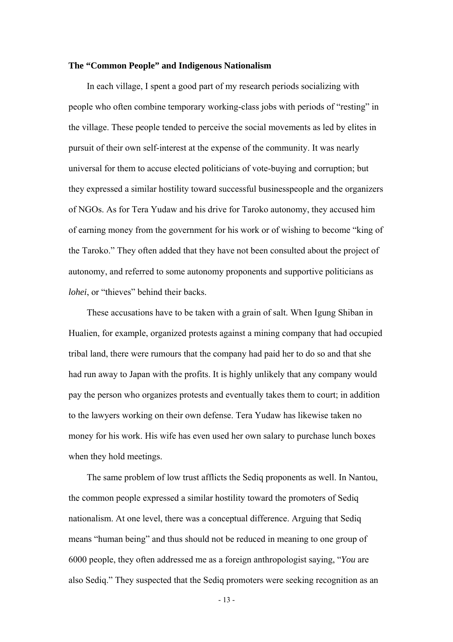#### **The "Common People" and Indigenous Nationalism**

In each village, I spent a good part of my research periods socializing with people who often combine temporary working-class jobs with periods of "resting" in the village. These people tended to perceive the social movements as led by elites in pursuit of their own self-interest at the expense of the community. It was nearly universal for them to accuse elected politicians of vote-buying and corruption; but they expressed a similar hostility toward successful businesspeople and the organizers of NGOs. As for Tera Yudaw and his drive for Taroko autonomy, they accused him of earning money from the government for his work or of wishing to become "king of the Taroko." They often added that they have not been consulted about the project of autonomy, and referred to some autonomy proponents and supportive politicians as *lohei*, or "thieves" behind their backs.

These accusations have to be taken with a grain of salt. When Igung Shiban in Hualien, for example, organized protests against a mining company that had occupied tribal land, there were rumours that the company had paid her to do so and that she had run away to Japan with the profits. It is highly unlikely that any company would pay the person who organizes protests and eventually takes them to court; in addition to the lawyers working on their own defense. Tera Yudaw has likewise taken no money for his work. His wife has even used her own salary to purchase lunch boxes when they hold meetings.

The same problem of low trust afflicts the Sediq proponents as well. In Nantou, the common people expressed a similar hostility toward the promoters of Sediq nationalism. At one level, there was a conceptual difference. Arguing that Sediq means "human being" and thus should not be reduced in meaning to one group of 6000 people, they often addressed me as a foreign anthropologist saying, "*You* are also Sediq." They suspected that the Sediq promoters were seeking recognition as an

- 13 -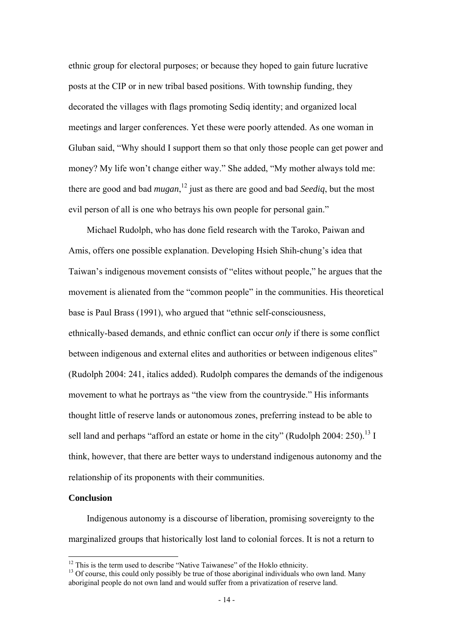ethnic group for electoral purposes; or because they hoped to gain future lucrative posts at the CIP or in new tribal based positions. With township funding, they decorated the villages with flags promoting Sediq identity; and organized local meetings and larger conferences. Yet these were poorly attended. As one woman in Gluban said, "Why should I support them so that only those people can get power and money? My life won't change either way." She added, "My mother always told me: there are good and bad *mugan*, 12 just as there are good and bad *Seediq*, but the most evil person of all is one who betrays his own people for personal gain."

Michael Rudolph, who has done field research with the Taroko, Paiwan and Amis, offers one possible explanation. Developing Hsieh Shih-chung's idea that Taiwan's indigenous movement consists of "elites without people," he argues that the movement is alienated from the "common people" in the communities. His theoretical base is Paul Brass (1991), who argued that "ethnic self-consciousness, ethnically-based demands, and ethnic conflict can occur *only* if there is some conflict between indigenous and external elites and authorities or between indigenous elites" (Rudolph 2004: 241, italics added). Rudolph compares the demands of the indigenous movement to what he portrays as "the view from the countryside." His informants thought little of reserve lands or autonomous zones, preferring instead to be able to sell land and perhaps "afford an estate or home in the city" (Rudolph 2004: 250).<sup>13</sup> I think, however, that there are better ways to understand indigenous autonomy and the relationship of its proponents with their communities.

#### **Conclusion**

 $\overline{a}$ 

Indigenous autonomy is a discourse of liberation, promising sovereignty to the marginalized groups that historically lost land to colonial forces. It is not a return to

<sup>&</sup>lt;sup>12</sup> This is the term used to describe "Native Taiwanese" of the Hoklo ethnicity.<br><sup>13</sup> Of course, this could only possibly be true of those aboriginal individuals who own land. Many aboriginal people do not own land and would suffer from a privatization of reserve land.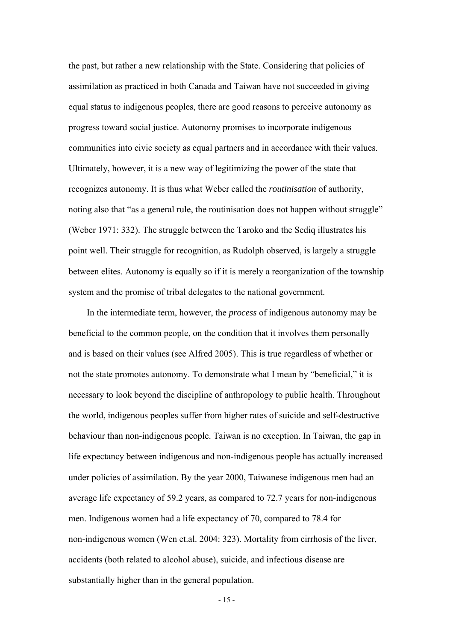the past, but rather a new relationship with the State. Considering that policies of assimilation as practiced in both Canada and Taiwan have not succeeded in giving equal status to indigenous peoples, there are good reasons to perceive autonomy as progress toward social justice. Autonomy promises to incorporate indigenous communities into civic society as equal partners and in accordance with their values. Ultimately, however, it is a new way of legitimizing the power of the state that recognizes autonomy. It is thus what Weber called the *routinisation* of authority, noting also that "as a general rule, the routinisation does not happen without struggle" (Weber 1971: 332). The struggle between the Taroko and the Sediq illustrates his point well. Their struggle for recognition, as Rudolph observed, is largely a struggle between elites. Autonomy is equally so if it is merely a reorganization of the township system and the promise of tribal delegates to the national government.

In the intermediate term, however, the *process* of indigenous autonomy may be beneficial to the common people, on the condition that it involves them personally and is based on their values (see Alfred 2005). This is true regardless of whether or not the state promotes autonomy. To demonstrate what I mean by "beneficial," it is necessary to look beyond the discipline of anthropology to public health. Throughout the world, indigenous peoples suffer from higher rates of suicide and self-destructive behaviour than non-indigenous people. Taiwan is no exception. In Taiwan, the gap in life expectancy between indigenous and non-indigenous people has actually increased under policies of assimilation. By the year 2000, Taiwanese indigenous men had an average life expectancy of 59.2 years, as compared to 72.7 years for non-indigenous men. Indigenous women had a life expectancy of 70, compared to 78.4 for non-indigenous women (Wen et.al. 2004: 323). Mortality from cirrhosis of the liver, accidents (both related to alcohol abuse), suicide, and infectious disease are substantially higher than in the general population.

- 15 -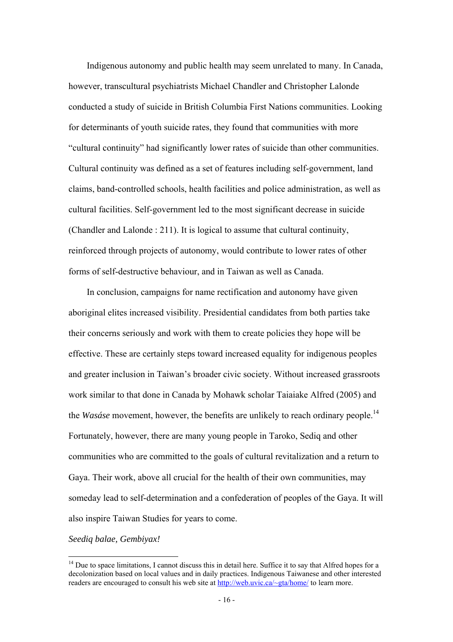Indigenous autonomy and public health may seem unrelated to many. In Canada, however, transcultural psychiatrists Michael Chandler and Christopher Lalonde conducted a study of suicide in British Columbia First Nations communities. Looking for determinants of youth suicide rates, they found that communities with more "cultural continuity" had significantly lower rates of suicide than other communities. Cultural continuity was defined as a set of features including self-government, land claims, band-controlled schools, health facilities and police administration, as well as cultural facilities. Self-government led to the most significant decrease in suicide (Chandler and Lalonde : 211). It is logical to assume that cultural continuity, reinforced through projects of autonomy, would contribute to lower rates of other forms of self-destructive behaviour, and in Taiwan as well as Canada.

In conclusion, campaigns for name rectification and autonomy have given aboriginal elites increased visibility. Presidential candidates from both parties take their concerns seriously and work with them to create policies they hope will be effective. These are certainly steps toward increased equality for indigenous peoples and greater inclusion in Taiwan's broader civic society. Without increased grassroots work similar to that done in Canada by Mohawk scholar Taiaiake Alfred (2005) and the *Wasáse* movement, however, the benefits are unlikely to reach ordinary people.<sup>14</sup> Fortunately, however, there are many young people in Taroko, Sediq and other communities who are committed to the goals of cultural revitalization and a return to Gaya. Their work, above all crucial for the health of their own communities, may someday lead to self-determination and a confederation of peoples of the Gaya. It will also inspire Taiwan Studies for years to come.

*Seediq balae, Gembiyax!*

 $14$  Due to space limitations. I cannot discuss this in detail here. Suffice it to say that Alfred hopes for a decolonization based on local values and in daily practices. Indigenous Taiwanese and other interested readers are encouraged to consult his web site at http://web.uvic.ca/~gta/home/ to learn more.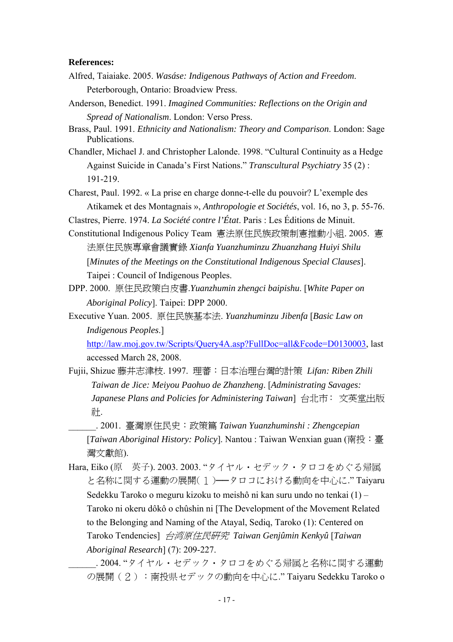#### **References:**

- Alfred, Taiaiake. 2005. *Wasáse: Indigenous Pathways of Action and Freedom*. Peterborough, Ontario: Broadview Press.
- Anderson, Benedict. 1991. *Imagined Communities: Reflections on the Origin and Spread of Nationalism*. London: Verso Press.
- Brass, Paul. 1991. *Ethnicity and Nationalism: Theory and Comparison*. London: Sage Publications.
- Chandler, Michael J. and Christopher Lalonde. 1998. "Cultural Continuity as a Hedge Against Suicide in Canada's First Nations." *Transcultural Psychiatry* 35 (2) : 191-219.
- Charest, Paul. 1992. « La prise en charge donne-t-elle du pouvoir? L'exemple des Atikamek et des Montagnais », *Anthropologie et Sociétés*, vol. 16, no 3, p. 55-76.
- Clastres, Pierre. 1974. *La Société contre l'État*. Paris : Les Éditions de Minuit.
- Constitutional Indigenous Policy Team 憲法原住民族政策制憲推動小組. 2005. 憲 法原住民族專章會議實錄 *Xianfa Yuanzhuminzu Zhuanzhang Huiyi Shilu* [*Minutes of the Meetings on the Constitutional Indigenous Special Clauses*]. Taipei : Council of Indigenous Peoples.
- DPP. 2000. 原住民政策白皮書.*Yuanzhumin zhengci baipishu*. [*White Paper on Aboriginal Policy*]. Taipei: DPP 2000.
- Executive Yuan. 2005. 原住民族基本法. *Yuanzhuminzu Jibenfa* [*Basic Law on Indigenous Peoples*.]

http://law.moj.gov.tw/Scripts/Query4A.asp?FullDoc=all&Fcode=D0130003, last accessed March 28, 2008.

Fujii, Shizue 藤井志津枝. 1997. 理蕃:日本治理台灣的計策 *Lifan: Riben Zhili Taiwan de Jice: Meiyou Paohuo de Zhanzheng*. [*Administrating Savages: Japanese Plans and Policies for Administering Taiwan*] 台北市: 文英堂出版 社.

\_\_\_\_\_\_. 2001. 臺灣原住民史:政策篇 *Taiwan Yuanzhuminshi : Zhengcepian* [*Taiwan Aboriginal History: Policy*]. Nantou : Taiwan Wenxian guan (南投:臺 灣文獻館).

Hara, Eiko (原 英子). 2003. 2003. "タイヤル・セデック・タロコをめぐる帰属 と名称に関する運動の展開(1) -- タロコにおける動向を中心に." Taiyaru Sedekku Taroko o meguru kizoku to meishô ni kan suru undo no tenkai (1) – Taroko ni okeru dôkô o chûshin ni [The Development of the Movement Related to the Belonging and Naming of the Atayal, Sediq, Taroko (1): Centered on Taroko Tendencies] 台湾原住民研究 *Taiwan Genjûmin Kenkyû* [*Taiwan Aboriginal Research*] (7): 209-227.

\_\_\_\_\_\_. 2004. "タイヤル・セデック・タロコをめぐる帰属と名称に関する運動 の展開(2):南投県セデックの動向を中心に." Taiyaru Sedekku Taroko o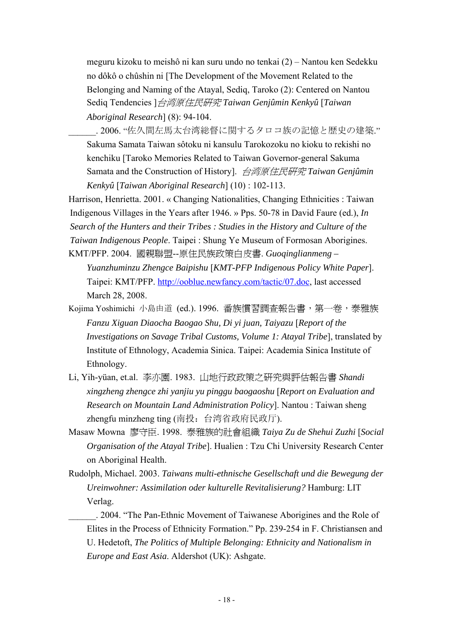meguru kizoku to meishô ni kan suru undo no tenkai (2) – Nantou ken Sedekku no dôkô o chûshin ni [The Development of the Movement Related to the Belonging and Naming of the Atayal, Sediq, Taroko (2): Centered on Nantou Sediq Tendencies ]台湾原住民研究 *Taiwan Genjûmin Kenkyû* [*Taiwan Aboriginal Research*] (8): 94-104.

. 2006. "佐久間左馬太台湾総督に関するタロコ族の記憶と歴史の建築." Sakuma Samata Taiwan sôtoku ni kansulu Tarokozoku no kioku to rekishi no kenchiku [Taroko Memories Related to Taiwan Governor-general Sakuma Samata and the Construction of History]. 台湾原住民研究 *Taiwan Genjûmin Kenkyû* [*Taiwan Aboriginal Research*] (10) : 102-113.

Harrison, Henrietta. 2001. « Changing Nationalities, Changing Ethnicities : Taiwan Indigenous Villages in the Years after 1946. » Pps. 50-78 in David Faure (ed.), *In Search of the Hunters and their Tribes : Studies in the History and Culture of the Taiwan Indigenous People*. Taipei : Shung Ye Museum of Formosan Aborigines. KMT/PFP. 2004. 國親聯盟--原住民族政策白皮書. *Guoqinglianmeng –* 

- *Yuanzhuminzu Zhengce Baipishu* [*KMT-PFP Indigenous Policy White Paper*]. Taipei: KMT/PFP. http://ooblue.newfancy.com/tactic/07.doc, last accessed March 28, 2008.
- Kojima Yoshimichi 小島由道 (ed.). 1996. 番族慣習調查報告書,第一卷,泰雅族 *Fanzu Xiguan Diaocha Baogao Shu, Di yi juan, Taiyazu* [*Report of the Investigations on Savage Tribal Customs, Volume 1: Atayal Tribe*], translated by Institute of Ethnology, Academia Sinica. Taipei: Academia Sinica Institute of Ethnology.
- Li, Yih-yüan, et.al. 李亦園. 1983. 山地行政政策之研究與評估報告書 *Shandi xingzheng zhengce zhi yanjiu yu pinggu baogaoshu* [*Report on Evaluation and Research on Mountain Land Administration Policy*]. Nantou : Taiwan sheng zhengfu minzheng ting (南投:台湾省政府民政厅).
- Masaw Mowna 廖守臣. 1998. 泰雅族的社會組織 *Taiya Zu de Shehui Zuzhi* [*Social Organisation of the Atayal Tribe*]. Hualien : Tzu Chi University Research Center on Aboriginal Health.
- Rudolph, Michael. 2003. *Taiwans multi-ethnische Gesellschaft und die Bewegung der Ureinwohner: Assimilation oder kulturelle Revitalisierung?* Hamburg: LIT Verlag.
	- \_\_\_\_\_\_. 2004. "The Pan-Ethnic Movement of Taiwanese Aborigines and the Role of Elites in the Process of Ethnicity Formation." Pp. 239-254 in F. Christiansen and U. Hedetoft, *The Politics of Multiple Belonging: Ethnicity and Nationalism in Europe and East Asia*. Aldershot (UK): Ashgate.